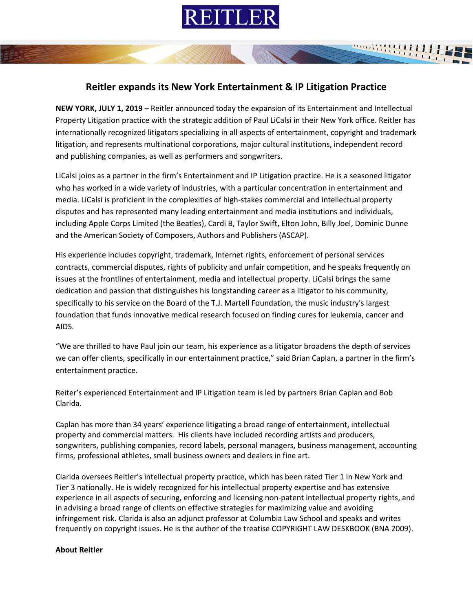

## **Reitler expands its New York Entertainment & IP Litigation Practice**

**NEW YORK, JULY 1, 2019** – Reitler announced today the expansion of its Entertainment and Intellectual Property Litigation practice with the strategic addition of Paul LiCalsi in their New York office. Reitler has internationally recognized litigators specializing in all aspects of entertainment, copyright and trademark litigation, and represents multinational corporations, major cultural institutions, independent record and publishing companies, as well as performers and songwriters.

LiCalsi joins as a partner in the firm's Entertainment and IP Litigation practice. He is a seasoned litigator who has worked in a wide variety of industries, with a particular concentration in entertainment and media. LiCalsi is proficient in the complexities of high-stakes commercial and intellectual property disputes and has represented many leading entertainment and media institutions and individuals, including Apple Corps Limited (the Beatles), Cardi B, Taylor Swift, Elton John, Billy Joel, Dominic Dunne and the American Society of Composers, Authors and Publishers (ASCAP).

His experience includes copyright, trademark, Internet rights, enforcement of personal services contracts, commercial disputes, rights of publicity and unfair competition, and he speaks frequently on issues at the frontlines of entertainment, media and intellectual property. LiCalsi brings the same dedication and passion that distinguishes his longstanding career as a litigator to his community, specifically to his service on the Board of the T.J. Martell Foundation, the music industry's largest foundation that funds innovative medical research focused on finding cures for leukemia, cancer and AIDS.

"We are thrilled to have Paul join our team, his experience as a litigator broadens the depth of services we can offer clients, specifically in our entertainment practice," said Brian Caplan, a partner in the firm's entertainment practice.

Reiter's experienced Entertainment and IP Litigation team is led by partners Brian Caplan and Bob Clarida.

Caplan has more than 34 years' experience litigating a broad range of entertainment, intellectual property and commercial matters. His clients have included recording artists and producers, songwriters, publishing companies, record labels, personal managers, business management, accounting firms, professional athletes, small business owners and dealers in fine art.

Clarida oversees Reitler's intellectual property practice, which has been rated Tier 1 in New York and Tier 3 nationally. He is widely recognized for his intellectual property expertise and has extensive experience in all aspects of securing, enforcing and licensing non-patent intellectual property rights, and in advising a broad range of clients on effective strategies for maximizing value and avoiding infringement risk. Clarida is also an adjunct professor at Columbia Law School and speaks and writes frequently on copyright issues. He is the author of the treatise COPYRIGHT LAW DESKBOOK (BNA 2009).

## **About Reitler**